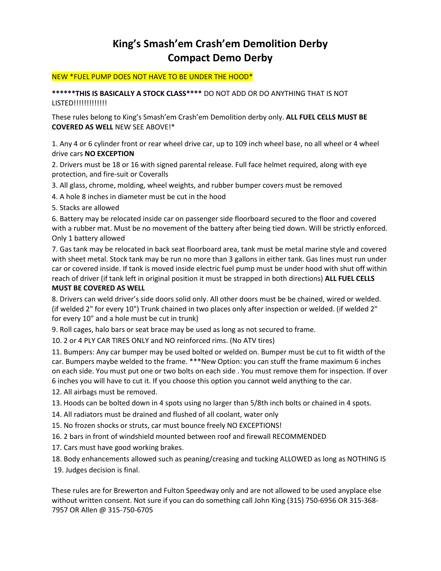## **King's Smash'em Crash'em Demolition Derby Compact Demo Derby**

#### NEW \*FUEL PUMP DOES NOT HAVE TO BE UNDER THE HOOD\*

**\*\*\*\*\*\*THIS IS BASICALLY A STOCK CLASS\*\*\*\*** DO NOT ADD OR DO ANYTHING THAT IS NOT LISTED!!!!!!!!!!!!!

These rules belong to King's Smash'em Crash'em Demolition derby only. **ALL FUEL CELLS MUST BE COVERED AS WELL** NEW SEE ABOVE!\*

1. Any 4 or 6 cylinder front or rear wheel drive car, up to 109 inch wheel base, no all wheel or 4 wheel drive cars **NO EXCEPTION**

2. Drivers must be 18 or 16 with signed parental release. Full face helmet required, along with eye protection, and fire-suit or Coveralls

3. All glass, chrome, molding, wheel weights, and rubber bumper covers must be removed

4. A hole 8 inches in diameter must be cut in the hood

5. Stacks are allowed

6. Battery may be relocated inside car on passenger side floorboard secured to the floor and covered with a rubber mat. Must be no movement of the battery after being tied down. Will be strictly enforced. Only 1 battery allowed

7. Gas tank may be relocated in back seat floorboard area, tank must be metal marine style and covered with sheet metal. Stock tank may be run no more than 3 gallons in either tank. Gas lines must run under car or covered inside. If tank is moved inside electric fuel pump must be under hood with shut off within reach of driver (if tank left in original position it must be strapped in both directions) **ALL FUEL CELLS MUST BE COVERED AS WELL**

8. Drivers can weld driver's side doors solid only. All other doors must be be chained, wired or welded. (if welded 2" for every 10") Trunk chained in two places only after inspection or welded. (if welded 2" for every 10" and a hole must be cut in trunk)

9. Roll cages, halo bars or seat brace may be used as long as not secured to frame.

10. 2 or 4 PLY CAR TIRES ONLY and NO reinforced rims. (No ATV tires)

11. Bumpers: Any car bumper may be used bolted or welded on. Bumper must be cut to fit width of the car. Bumpers maybe welded to the frame. \*\*\*New Option: you can stuff the frame maximum 6 inches on each side. You must put one or two bolts on each side . You must remove them for inspection. If over 6 inches you will have to cut it. If you choose this option you cannot weld anything to the car.

12. All airbags must be removed.

13. Hoods can be bolted down in 4 spots using no larger than 5/8th inch bolts or chained in 4 spots.

14. All radiators must be drained and flushed of all coolant, water only

15. No frozen shocks or struts, car must bounce freely NO EXCEPTIONS!

16. 2 bars in front of windshield mounted between roof and firewall RECOMMENDED

17. Cars must have good working brakes.

18. Body enhancements allowed such as peaning/creasing and tucking ALLOWED as long as NOTHING IS

19. Judges decision is final.

These rules are for Brewerton and Fulton Speedway only and are not allowed to be used anyplace else without written consent. Not sure if you can do something call John King (315) 750-6956 OR 315-368- 7957 OR Allen @ 315-750-6705